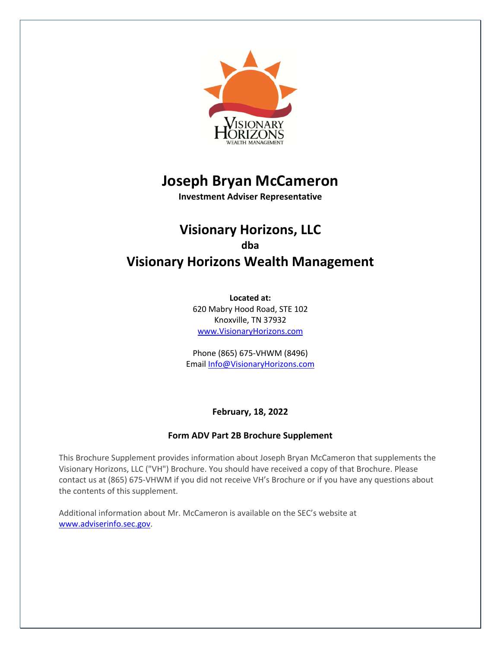

# **Joseph Bryan McCameron**

**Investment Adviser Representative**

## **Visionary Horizons, LLC dba Visionary Horizons Wealth Management**

**Located at:** 620 Mabry Hood Road, STE 102 Knoxville, TN 37932 www.VisionaryHorizons.com

Phone (865) 675-VHWM (8496) Email Info@VisionaryHorizons.com

## **February, 18, 2022**

## **Form ADV Part 2B Brochure Supplement**

This Brochure Supplement provides information about Joseph Bryan McCameron that supplements the Visionary Horizons, LLC ("VH") Brochure. You should have received a copy of that Brochure. Please contact us at (865) 675-VHWM if you did not receive VH's Brochure or if you have any questions about the contents of this supplement.

Additional information about Mr. McCameron is available on the SEC's website at www.adviserinfo.sec.gov.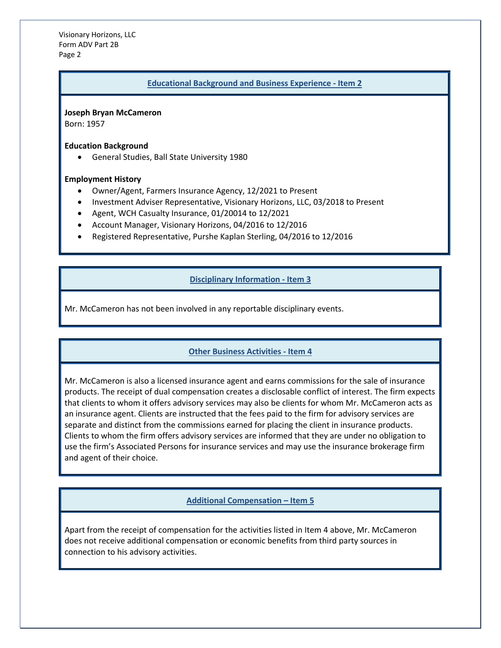Visionary Horizons, LLC Form ADV Part 2B Page 2

#### **Educational Background and Business Experience - Item 2**

**Joseph Bryan McCameron**

Born: 1957

**Education Background**

• General Studies, Ball State University 1980

#### **Employment History**

- Owner/Agent, Farmers Insurance Agency, 12/2021 to Present
- Investment Adviser Representative, Visionary Horizons, LLC, 03/2018 to Present
- Agent, WCH Casualty Insurance, 01/20014 to 12/2021
- Account Manager, Visionary Horizons, 04/2016 to 12/2016
- Registered Representative, Purshe Kaplan Sterling, 04/2016 to 12/2016

### **Disciplinary Information - Item 3**

Mr. McCameron has not been involved in any reportable disciplinary events.

#### **Other Business Activities - Item 4**

Mr. McCameron is also a licensed insurance agent and earns commissions for the sale of insurance products. The receipt of dual compensation creates a disclosable conflict of interest. The firm expects that clients to whom it offers advisory services may also be clients for whom Mr. McCameron acts as an insurance agent. Clients are instructed that the fees paid to the firm for advisory services are separate and distinct from the commissions earned for placing the client in insurance products. Clients to whom the firm offers advisory services are informed that they are under no obligation to use the firm's Associated Persons for insurance services and may use the insurance brokerage firm and agent of their choice.

#### **Additional Compensation – Item 5**

Apart from the receipt of compensation for the activities listed in Item 4 above, Mr. McCameron does not receive additional compensation or economic benefits from third party sources in connection to his advisory activities.